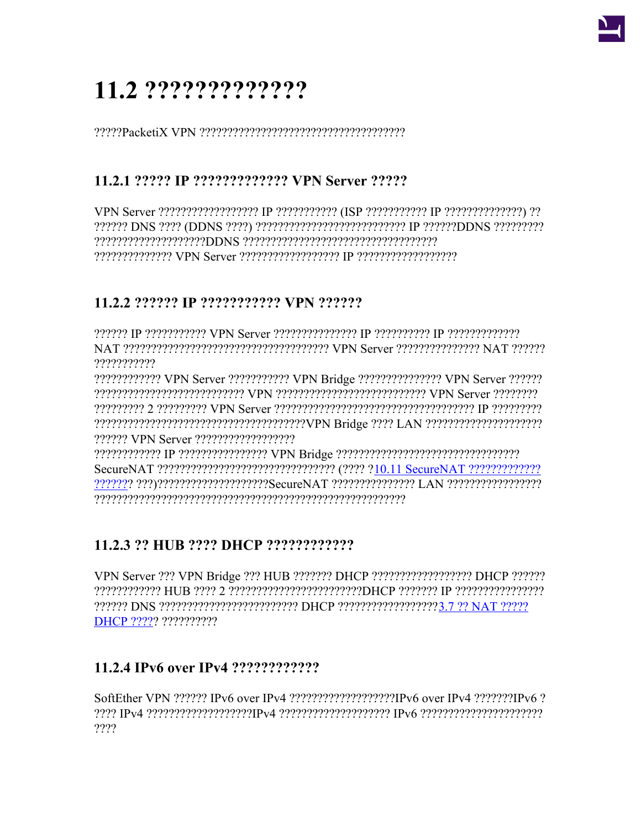# 11.2 ??????????????

# 11.2.1 ????? IP ????????????? VPN Server ?????

VPN Server ????????????????????? IP ??????????? (ISP ??????????? IP ??????????????) ?? 222222 DNS 2222 (DDNS 2222) 2222222222222222222222222 IP 22222220DNS 222222222 22222222222222 VPN Server 222222222222222 IP 2222222222222222

## 11.2.2 ?????? IP ??????????? VPN ??????

???????????

???????????? VPN Server ??????????? VPN Bridge ??????????????? VPN Server ?????? CPN Server Terrer VPN processer CPN Contract CPN Server Cerver Committee Committee Committee Committee Commit 

# 11.2.3 ?? HUB ???? DHCP ?????????????

VPN Server ??? VPN Bridge ??? HUB ??????? DHCP ??????????????????? DHCP ?????? ????????????? HUB ???? 2 ???????????????????????DHCP ??????? IP ????????????????? ?????? DNS ????????????????????????? DHCP ?????????????????3.7 ?? NAT ????? **DHCP ????? ??????????** 

# 

SoftEther VPN ?????? IPv6 over IPv4 ???????????????????IPv6 over IPv4 ???????IPv6 ?  $2222$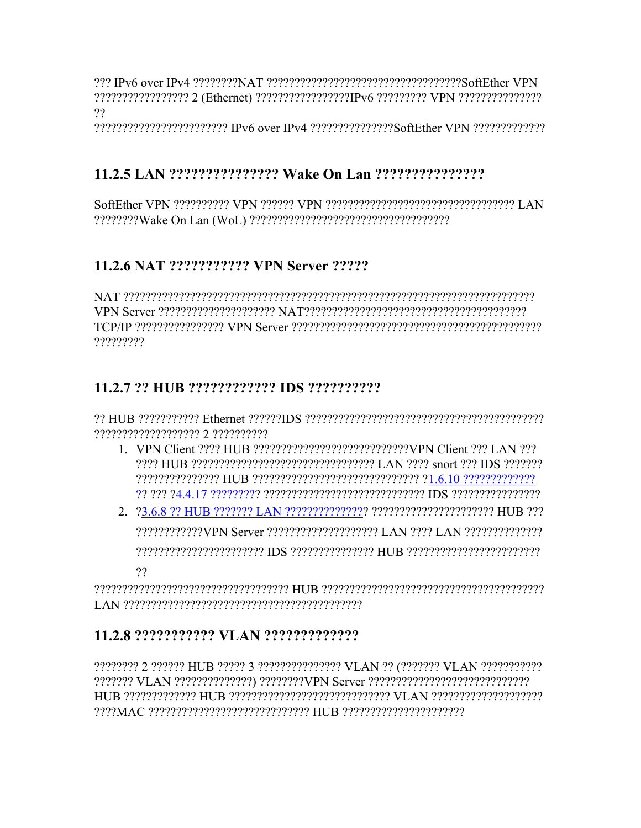$22$ 

22222222222222222222222222222 IPv6 over IPv4 222222222222222256ftEther VPN 222222222222

# 

### 11.2.6 NAT ??????????? VPN Server ?????

NAT המימימים ומינים ומיכון ומינים ומיכון ומינים ומיכון ומיכון ומיכון ומיכון ומיכון ומיכון ומיכון מיכון  $\mu$ ?????????

#### 

??????????????????? 2 ??????????

- 1. VPN Client ???? HUB ????????????????????????????VPN Client ??? LAN ???
- reserved that the consequence of the consequence of the consequence of the consequence of the consequence of t  $22$

### 

???????? 2 ?????? HUB ????? 3 ??????????????? VLAN ?? (??????? VLAN ????????????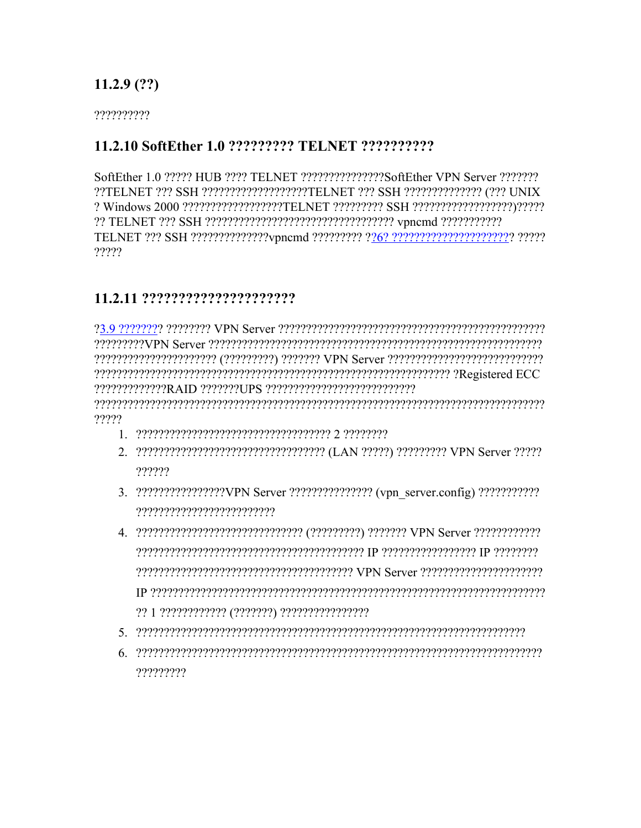### $11.2.9(??)$

??????????

#### 11.2.10 SoftEther 1.0 ????????? TELNET ???????????

SoftEther 1.0 ????? HUB ???? TELNET ??????????????SoftEther VPN Server ???????? ??TELNET ??? SSH ??????????????????TELNET ??? SSH ????????????? (??? UNIX ?????

#### 

222222222222RAID 2222227UPS 2222222222222222222222 reserverenen erreserrentaren alternational erreta erreta erreta elago erreta erreta erreta erreta erreta erret ?????

- 
- 2. 2222222222222222222222222222222222 (LAN 22222) 222222222 VPN Server 22222 ??????
- 3. ??????????????????VPN Server ???????????????? (vpn server.config) ???????????? ??????????????????????????
- 
- $\mathcal{S} = \{S_{\mathcal{A}}\}$  respectively. The contract of the contract of the contract of the contract of the contract of the contract of the contract of the contract of the contract of the contract of the contract of the contr
- ?????????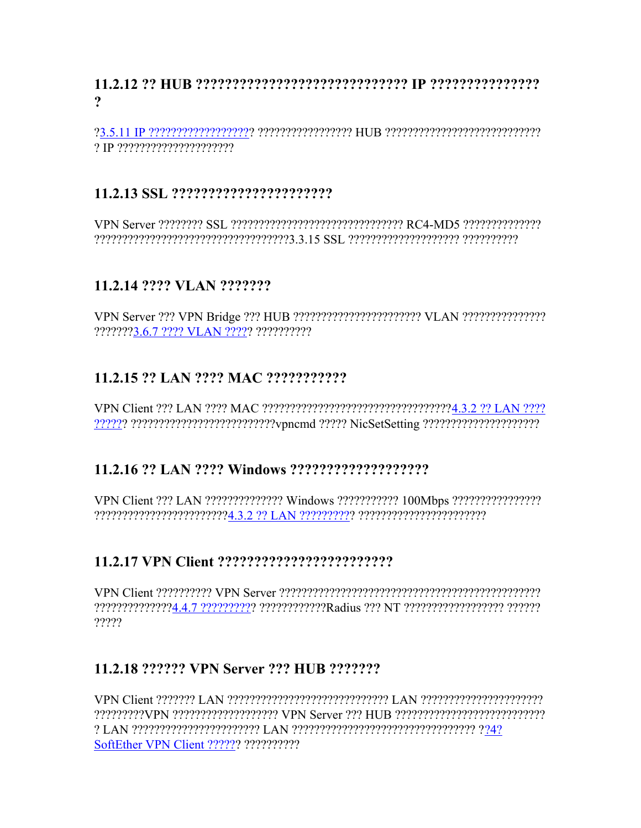#### $\boldsymbol{\gamma}$

#### 

### 11.2.14 ???? VLAN ???????

???????3.6.7 ???? VLAN ????? ??????????

### 11.2.15 ?? LAN ???? MAC ???????????

#### 

VPN Client ??? LAN ?????????????? Windows ??????????? 100Mbps ?????????????????? 

### 

?????

### 11.2.18 ?????? VPN Server ??? HUB ???????

SoftEther VPN Client ?????? ??????????